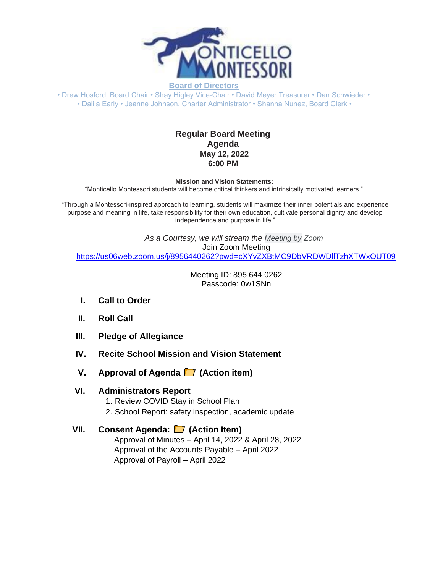

**Board of Directors**

• Drew Hosford, Board Chair • Shay Higley Vice-Chair • David Meyer Treasurer • Dan Schwieder • • Dalila Early • Jeanne Johnson, Charter Administrator • Shanna Nunez, Board Clerk •

## **Regular Board Meeting Agenda May 12, 2022 6:00 PM**

**Mission and Vision Statements:**

"Monticello Montessori students will become critical thinkers and intrinsically motivated learners."

"Through a Montessori-inspired approach to learning, students will maximize their inner potentials and experience purpose and meaning in life, take responsibility for their own education, cultivate personal dignity and develop independence and purpose in life."

*As a Courtesy, we will stream the Meeting by Zoom* Join Zoom Meeting [https://us06web.zoom.us/j/8956440262?pwd=cXYvZXBtMC9DbVRDWDllTzhXTWxOUT09](https://www.google.com/url?q=https://us06web.zoom.us/j/8956440262?pwd%3DcXYvZXBtMC9DbVRDWDllTzhXTWxOUT09&sa=D&source=calendar&ust=1649611435962285&usg=AOvVaw3qxjr32WpDMzv0cYTitQkm)

> Meeting ID: 895 644 0262 Passcode: 0w1SNn

- **I. Call to Order**
- **II. Roll Call**
- **III. Pledge of Allegiance**
- **IV. Recite School Mission and Vision Statement**
- **V.** Approval of Agenda **□** (Action item)

### **VI. Administrators Report**

- 1. Review COVID Stay in School Plan
- 2. School Report: safety inspection, academic update

### **VII. Consent Agenda: (Action Item)**

Approval of Minutes – April 14, 2022 & April 28, 2022 Approval of the Accounts Payable – April 2022 Approval of Payroll – April 2022